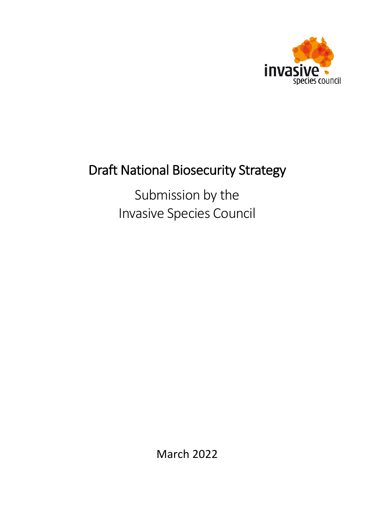

# Draft National Biosecurity Strategy

Submission by the Invasive Species Council

March 2022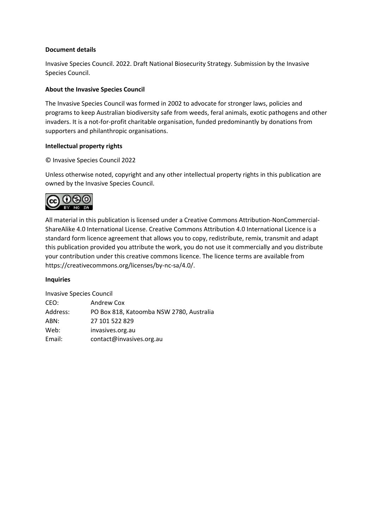### **Document details**

Invasive Species Council. 2022. Draft National Biosecurity Strategy. Submission by the Invasive Species Council.

### **About the Invasive Species Council**

The Invasive Species Council was formed in 2002 to advocate for stronger laws, policies and programs to keep Australian biodiversity safe from weeds, feral animals, exotic pathogens and other invaders. It is a not-for-profit charitable organisation, funded predominantly by donations from supporters and philanthropic organisations.

### **Intellectual property rights**

### © Invasive Species Council 2022

Unless otherwise noted, copyright and any other intellectual property rights in this publication are owned by the Invasive Species Council.



All material in this publication is licensed under a Creative Commons Attribution-NonCommercial-ShareAlike 4.0 International License. Creative Commons Attribution 4.0 International Licence is a standard form licence agreement that allows you to copy, redistribute, remix, transmit and adapt this publication provided you attribute the work, you do not use it commercially and you distribute your contribution under this creative commons licence. The licence terms are available from https://creativecommons.org/licenses/by-nc-sa/4.0/.

#### **Inquiries**

Invasive Species Council CEO: Andrew Cox Address: PO Box 818, Katoomba NSW 2780, Australia ABN: 27 101 522 829

Web: invasives.org.au

Email: contact@invasives.org.au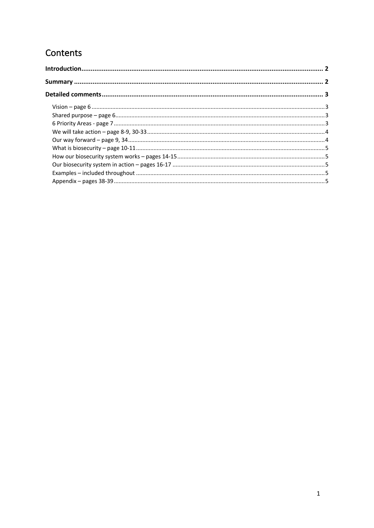# Contents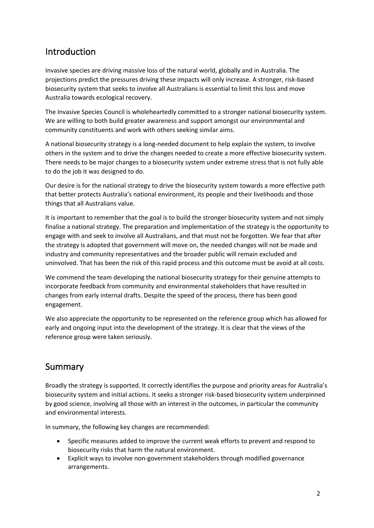# Introduction

Invasive species are driving massive loss of the natural world, globally and in Australia. The projections predict the pressures driving these impacts will only increase. A stronger, risk-based biosecurity system that seeks to involve all Australians is essential to limit this loss and move Australia towards ecological recovery.

The Invasive Species Council is wholeheartedly committed to a stronger national biosecurity system. We are willing to both build greater awareness and support amongst our environmental and community constituents and work with others seeking similar aims.

A national biosecurity strategy is a long-needed document to help explain the system, to involve others in the system and to drive the changes needed to create a more effective biosecurity system. There needs to be major changes to a biosecurity system under extreme stress that is not fully able to do the job it was designed to do.

Our desire is for the national strategy to drive the biosecurity system towards a more effective path that better protects Australia's national environment, its people and their livelihoods and those things that all Australians value.

It is important to remember that the goal is to build the stronger biosecurity system and not simply finalise a national strategy. The preparation and implementation of the strategy is the opportunity to engage with and seek to involve all Australians, and that must not be forgotten. We fear that after the strategy is adopted that government will move on, the needed changes will not be made and industry and community representatives and the broader public will remain excluded and uninvolved. That has been the risk of this rapid process and this outcome must be avoid at all costs.

We commend the team developing the national biosecurity strategy for their genuine attempts to incorporate feedback from community and environmental stakeholders that have resulted in changes from early internal drafts. Despite the speed of the process, there has been good engagement.

We also appreciate the opportunity to be represented on the reference group which has allowed for early and ongoing input into the development of the strategy. It is clear that the views of the reference group were taken seriously.

## Summary

Broadly the strategy is supported. It correctly identifies the purpose and priority areas for Australia's biosecurity system and initial actions. It seeks a stronger risk-based biosecurity system underpinned by good science, involving all those with an interest in the outcomes, in particular the community and environmental interests.

In summary, the following key changes are recommended:

- Specific measures added to improve the current weak efforts to prevent and respond to biosecurity risks that harm the natural environment.
- Explicit ways to involve non-government stakeholders through modified governance arrangements.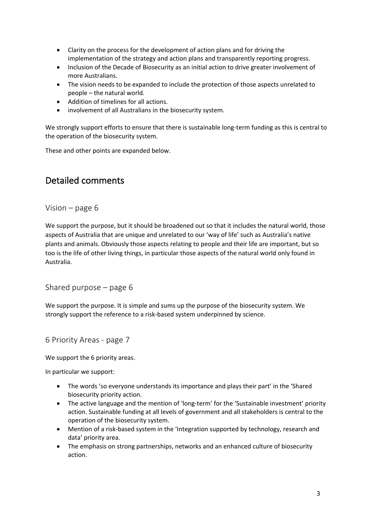- Clarity on the process for the development of action plans and for driving the implementation of the strategy and action plans and transparently reporting progress.
- Inclusion of the Decade of Biosecurity as an initial action to drive greater involvement of more Australians.
- The vision needs to be expanded to include the protection of those aspects unrelated to people – the natural world.
- Addition of timelines for all actions.
- involvement of all Australians in the biosecurity system.

We strongly support efforts to ensure that there is sustainable long-term funding as this is central to the operation of the biosecurity system.

These and other points are expanded below.

## Detailed comments

Vision – page 6

We support the purpose, but it should be broadened out so that it includes the natural world, those aspects of Australia that are unique and unrelated to our 'way of life' such as Australia's native plants and animals. Obviously those aspects relating to people and their life are important, but so too is the life of other living things, in particular those aspects of the natural world only found in Australia.

Shared purpose – page 6

We support the purpose. It is simple and sums up the purpose of the biosecurity system. We strongly support the reference to a risk-based system underpinned by science.

6 Priority Areas - page 7

We support the 6 priority areas.

In particular we support:

- The words 'so everyone understands its importance and plays their part' in the 'Shared biosecurity priority action.
- The active language and the mention of 'long-term' for the 'Sustainable investment' priority action. Sustainable funding at all levels of government and all stakeholders is central to the operation of the biosecurity system.
- Mention of a risk-based system in the 'Integration supported by technology, research and data' priority area.
- The emphasis on strong partnerships, networks and an enhanced culture of biosecurity action.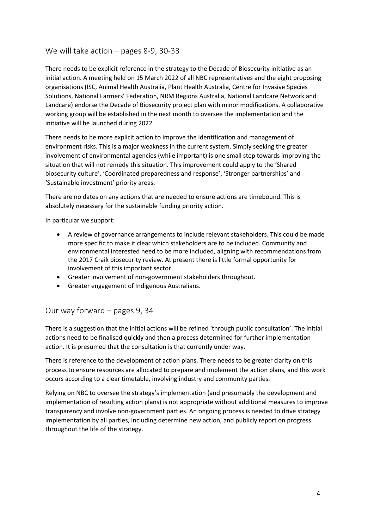### We will take action – pages 8-9, 30-33

There needs to be explicit reference in the strategy to the Decade of Biosecurity initiative as an initial action. A meeting held on 15 March 2022 of all NBC representatives and the eight proposing organisations (ISC, Animal Health Australia, Plant Health Australia, Centre for Invasive Species Solutions, National Farmers' Federation, NRM Regions Australia, National Landcare Network and Landcare) endorse the Decade of Biosecurity project plan with minor modifications. A collaborative working group will be established in the next month to oversee the implementation and the initiative will be launched during 2022.

There needs to be more explicit action to improve the identification and management of environment risks. This is a major weakness in the current system. Simply seeking the greater involvement of environmental agencies (while important) is one small step towards improving the situation that will not remedy this situation. This improvement could apply to the 'Shared biosecurity culture', 'Coordinated preparedness and response', 'Stronger partnerships' and 'Sustainable investment' priority areas.

There are no dates on any actions that are needed to ensure actions are timebound. This is absolutely necessary for the sustainable funding priority action.

In particular we support:

- A review of governance arrangements to include relevant stakeholders. This could be made more specific to make it clear which stakeholders are to be included. Community and environmental interested need to be more included, aligning with recommendations from the 2017 Craik biosecurity review. At present there is little formal opportunity for involvement of this important sector.
- Greater involvement of non-government stakeholders throughout.
- Greater engagement of Indigenous Australians.

### Our way forward – pages 9, 34

There is a suggestion that the initial actions will be refined 'through public consultation'. The initial actions need to be finalised quickly and then a process determined for further implementation action. It is presumed that the consultation is that currently under way.

There is reference to the development of action plans. There needs to be greater clarity on this process to ensure resources are allocated to prepare and implement the action plans, and this work occurs according to a clear timetable, involving industry and community parties.

Relying on NBC to oversee the strategy's implementation (and presumably the development and implementation of resulting action plans) is not appropriate without additional measures to improve transparency and involve non-government parties. An ongoing process is needed to drive strategy implementation by all parties, including determine new action, and publicly report on progress throughout the life of the strategy.